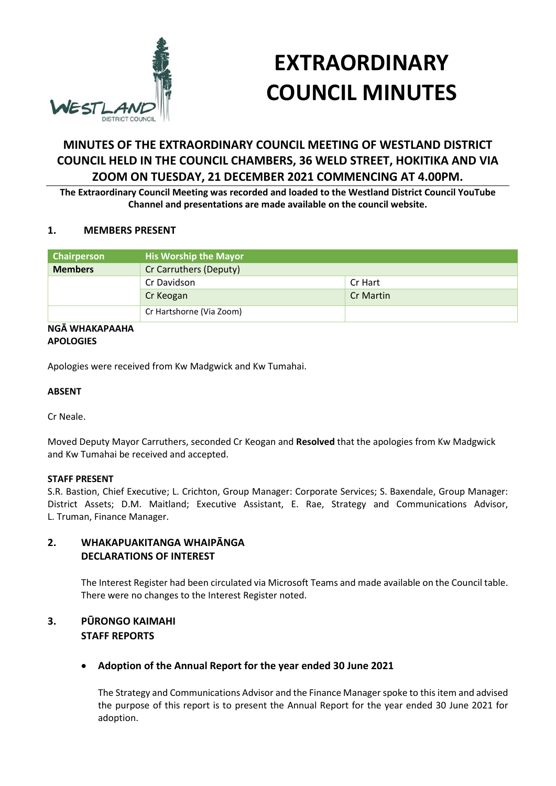

# **EXTRAORDINARY COUNCIL MINUTES**

## **MINUTES OF THE EXTRAORDINARY COUNCIL MEETING OF WESTLAND DISTRICT COUNCIL HELD IN THE COUNCIL CHAMBERS, 36 WELD STREET, HOKITIKA AND VIA ZOOM ON TUESDAY, 21 DECEMBER 2021 COMMENCING AT 4.00PM.**

**The Extraordinary Council Meeting was recorded and loaded to the Westland District Council YouTube Channel and presentations are made available on the council website.** 

### **1. MEMBERS PRESENT**

| Chairperson                                                                                                                                                                                                                                                                                                                                                                                                            | <b>His Worship the Mayor</b> |           |
|------------------------------------------------------------------------------------------------------------------------------------------------------------------------------------------------------------------------------------------------------------------------------------------------------------------------------------------------------------------------------------------------------------------------|------------------------------|-----------|
| <b>Members</b>                                                                                                                                                                                                                                                                                                                                                                                                         | Cr Carruthers (Deputy)       |           |
|                                                                                                                                                                                                                                                                                                                                                                                                                        | Cr Davidson                  | Cr Hart   |
|                                                                                                                                                                                                                                                                                                                                                                                                                        | Cr Keogan                    | Cr Martin |
|                                                                                                                                                                                                                                                                                                                                                                                                                        | Cr Hartshorne (Via Zoom)     |           |
| $\mathbf{A} \mathbf{B} \mathbf{A} \mathbf{A} \mathbf{B} \mathbf{A} \mathbf{A} \mathbf{B} \mathbf{A} \mathbf{A} \mathbf{A} \mathbf{A} \mathbf{A} \mathbf{A} \mathbf{A} \mathbf{A} \mathbf{A} \mathbf{A} \mathbf{A} \mathbf{A} \mathbf{A} \mathbf{A} \mathbf{A} \mathbf{A} \mathbf{A} \mathbf{A} \mathbf{A} \mathbf{A} \mathbf{A} \mathbf{A} \mathbf{A} \mathbf{A} \mathbf{A} \mathbf{A} \mathbf{A} \mathbf{A} \mathbf{$ |                              |           |

#### **NGĀ WHAKAPAAHA APOLOGIES**

Apologies were received from Kw Madgwick and Kw Tumahai.

### **ABSENT**

Cr Neale.

Moved Deputy Mayor Carruthers, seconded Cr Keogan and **Resolved** that the apologies from Kw Madgwick and Kw Tumahai be received and accepted.

#### **STAFF PRESENT**

S.R. Bastion, Chief Executive; L. Crichton, Group Manager: Corporate Services; S. Baxendale, Group Manager: District Assets; D.M. Maitland; Executive Assistant, E. Rae, Strategy and Communications Advisor, L. Truman, Finance Manager.

## **2. WHAKAPUAKITANGA WHAIPĀNGA DECLARATIONS OF INTEREST**

The Interest Register had been circulated via Microsoft Teams and made available on the Council table. There were no changes to the Interest Register noted.

## **3. PŪRONGO KAIMAHI STAFF REPORTS**

## **Adoption of the Annual Report for the year ended 30 June 2021**

The Strategy and Communications Advisor and the Finance Manager spoke to this item and advised the purpose of this report is to present the Annual Report for the year ended 30 June 2021 for adoption.